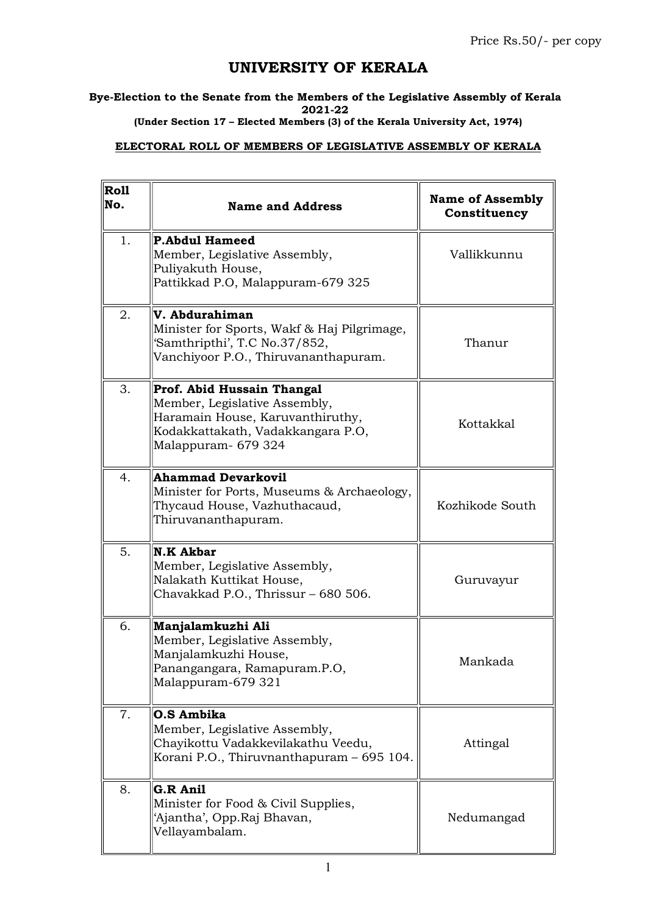## UNIVERSITY OF KERALA

Bye-Election to the Senate from the Members of the Legislative Assembly of Kerala 2021-22

(Under Section 17 – Elected Members (3) of the Kerala University Act, 1974)

## ELECTORAL ROLL OF MEMBERS OF LEGISLATIVE ASSEMBLY OF KERALA

| $\vert$ Roll<br>No. | <b>Name and Address</b>                                                                                                                                     | <b>Name of Assembly</b><br>Constituency |
|---------------------|-------------------------------------------------------------------------------------------------------------------------------------------------------------|-----------------------------------------|
| 1.                  | <b>P.Abdul Hameed</b><br>Member, Legislative Assembly,<br>Puliyakuth House,<br>Pattikkad P.O, Malappuram-679 325                                            | Vallikkunnu                             |
| 2.                  | V. Abdurahiman<br>Minister for Sports, Wakf & Haj Pilgrimage,<br>'Samthripthi', T.C No.37/852,<br>Vanchiyoor P.O., Thiruvananthapuram.                      | Thanur                                  |
| 3.                  | Prof. Abid Hussain Thangal<br>Member, Legislative Assembly,<br>Haramain House, Karuvanthiruthy,<br>Kodakkattakath, Vadakkangara P.O,<br>Malappuram- 679 324 | Kottakkal                               |
| 4.                  | <b>Ahammad Devarkovil</b><br>Minister for Ports, Museums & Archaeology,<br>Thycaud House, Vazhuthacaud,<br>Thiruvananthapuram.                              | Kozhikode South                         |
| 5.                  | <b>N.K Akbar</b><br>Member, Legislative Assembly,<br>Nalakath Kuttikat House,<br>Chavakkad P.O., Thrissur - 680 506.                                        | Guruvayur                               |
| 6.                  | Manjalamkuzhi Ali<br>Member, Legislative Assembly,<br>Manjalamkuzhi House,<br>Panangangara, Ramapuram.P.O,<br>Malappuram-679 321                            | Mankada                                 |
| 7.                  | O.S Ambika<br>Member, Legislative Assembly,<br>Chayikottu Vadakkevilakathu Veedu,<br>Korani P.O., Thiruvnanthapuram - 695 104.                              | Attingal                                |
| 8.                  | <b>G.R Anil</b><br>Minister for Food & Civil Supplies,<br>'Ajantha', Opp.Raj Bhavan,<br>Vellayambalam.                                                      | Nedumangad                              |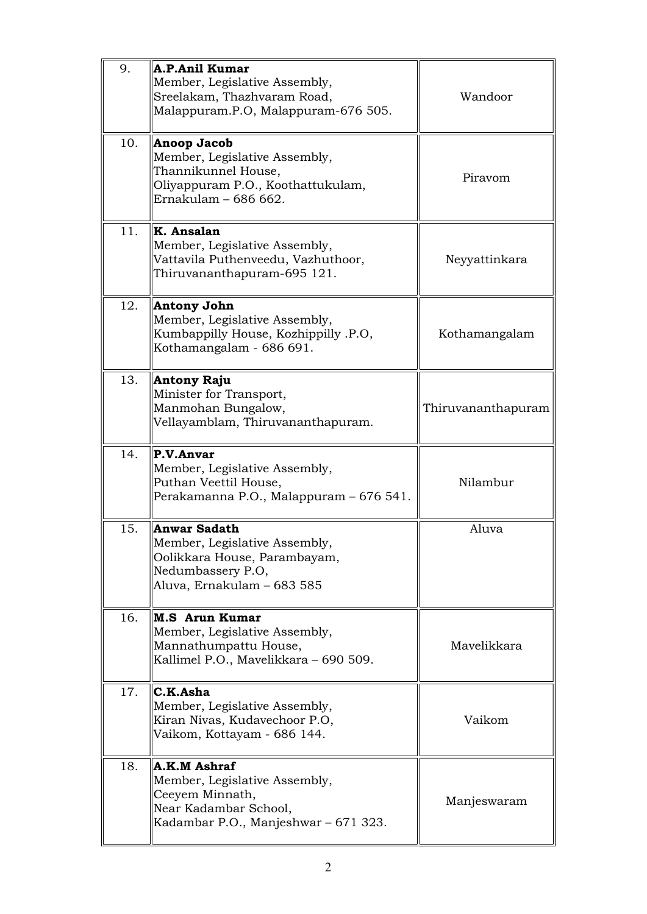| 9.  | <b>A.P.Anil Kumar</b><br>Member, Legislative Assembly,<br>Sreelakam, Thazhvaram Road,<br>Malappuram.P.O, Malappuram-676 505.      | Wandoor            |
|-----|-----------------------------------------------------------------------------------------------------------------------------------|--------------------|
| 10. | Anoop Jacob<br>Member, Legislative Assembly,<br>Thannikunnel House,<br>Oliyappuram P.O., Koothattukulam,<br>Ernakulam - 686 662.  | Piravom            |
| 11. | K. Ansalan<br>Member, Legislative Assembly,<br>Vattavila Puthenveedu, Vazhuthoor,<br>Thiruvananthapuram-695 121.                  | Neyyattinkara      |
| 12. | Antony John<br>Member, Legislative Assembly,<br>Kumbappilly House, Kozhippilly .P.O,<br>Kothamangalam - 686 691.                  | Kothamangalam      |
| 13. | Antony Raju<br>Minister for Transport,<br>Manmohan Bungalow,<br>Vellayamblam, Thiruvananthapuram.                                 | Thiruvananthapuram |
| 14. | P.V.Anvar<br>Member, Legislative Assembly,<br>Puthan Veettil House,<br>Perakamanna P.O., Malappuram - 676 541.                    | Nilambur           |
| 15. | Anwar Sadath<br>Member, Legislative Assembly,<br>Oolikkara House, Parambayam,<br>Nedumbassery P.O,<br>Aluva, Ernakulam - 683 585  | Aluva              |
| 16. | <b>M.S</b> Arun Kumar<br>Member, Legislative Assembly,<br>Mannathumpattu House,<br>Kallimel P.O., Mavelikkara - 690 509.          | Mavelikkara        |
| 17. | C.K.Asha<br>Member, Legislative Assembly,<br>Kiran Nivas, Kudavechoor P.O,<br>Vaikom, Kottayam - 686 144.                         | Vaikom             |
| 18. | A.K.M Ashraf<br>Member, Legislative Assembly,<br>Ceeyem Minnath,<br>Near Kadambar School,<br>Kadambar P.O., Manjeshwar - 671 323. | Manjeswaram        |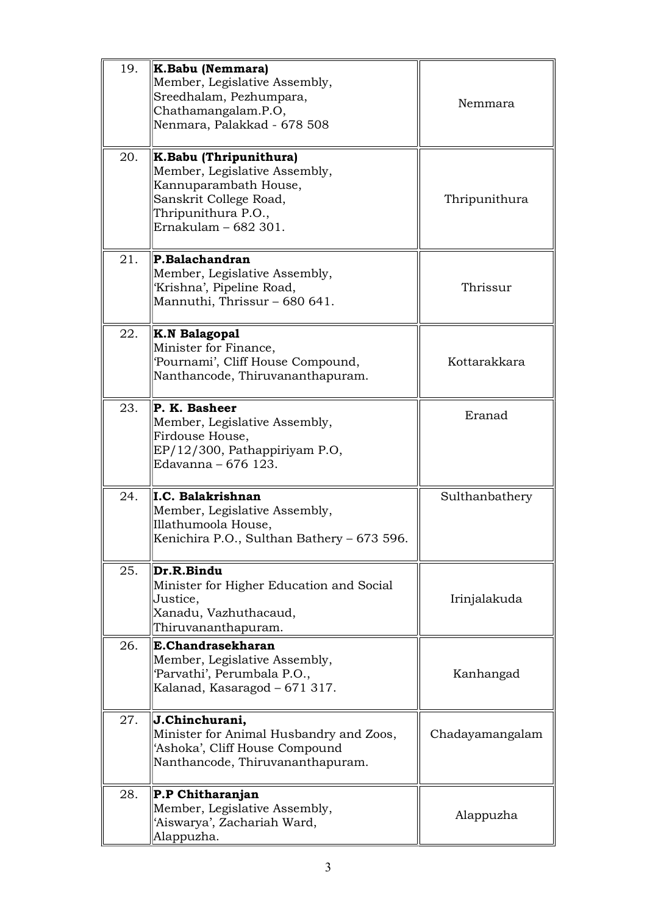| 19. | K.Babu (Nemmara)<br>Member, Legislative Assembly,<br>Sreedhalam, Pezhumpara,<br>Chathamangalam.P.O,<br>Nenmara, Palakkad - 678 508                        | Nemmara         |
|-----|-----------------------------------------------------------------------------------------------------------------------------------------------------------|-----------------|
| 20. | K.Babu (Thripunithura)<br>Member, Legislative Assembly,<br>Kannuparambath House,<br>Sanskrit College Road,<br>Thripunithura P.O.,<br>Ernakulam - 682 301. | Thripunithura   |
| 21. | P.Balachandran<br>Member, Legislative Assembly,<br>'Krishna', Pipeline Road,<br>Mannuthi, Thrissur – 680 641.                                             | Thrissur        |
| 22. | <b>K.N Balagopal</b><br>Minister for Finance,<br>'Pournami', Cliff House Compound,<br>Nanthancode, Thiruvananthapuram.                                    | Kottarakkara    |
| 23. | P. K. Basheer<br>Member, Legislative Assembly,<br>Firdouse House,<br>EP/12/300, Pathappiriyam P.O,<br>Edavanna - 676 123.                                 | Eranad          |
| 24. | I.C. Balakrishnan<br>Member, Legislative Assembly,<br>Illathumoola House,<br>Kenichira P.O., Sulthan Bathery – 673 596.                                   | Sulthanbathery  |
| 25. | Dr.R.Bindu<br>Minister for Higher Education and Social<br>Justice,<br>Xanadu, Vazhuthacaud,<br>Thiruvananthapuram.                                        | Irinjalakuda    |
| 26. | E.Chandrasekharan<br>Member, Legislative Assembly,<br>'Parvathi', Perumbala P.O.,<br>Kalanad, Kasaragod – 671 317.                                        | Kanhangad       |
| 27. | J.Chinchurani,<br>Minister for Animal Husbandry and Zoos,<br>'Ashoka', Cliff House Compound<br>Nanthancode, Thiruvananthapuram.                           | Chadayamangalam |
| 28. | P.P Chitharanjan<br>Member, Legislative Assembly,<br>'Aiswarya', Zachariah Ward,<br>Alappuzha.                                                            | Alappuzha       |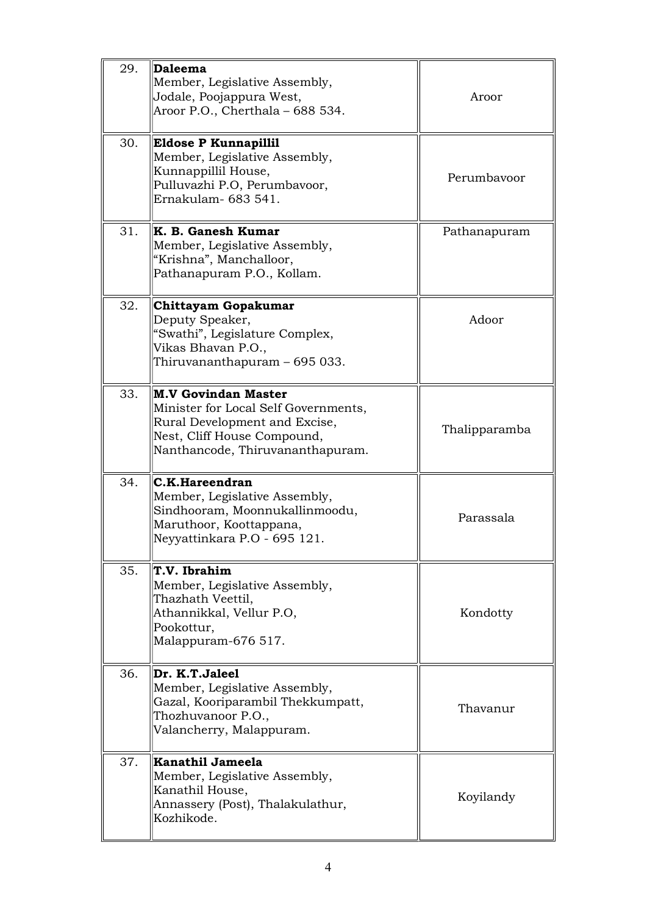| 29. | Daleema<br>Member, Legislative Assembly,<br>Jodale, Poojappura West,<br>Aroor P.O., Cherthala - 688 534.                                                               | Aroor         |
|-----|------------------------------------------------------------------------------------------------------------------------------------------------------------------------|---------------|
| 30. | <b>Eldose P Kunnapillil</b><br>Member, Legislative Assembly,<br>Kunnappillil House,<br>Pulluvazhi P.O, Perumbavoor,<br>Ernakulam- 683 541.                             | Perumbayoor   |
| 31. | K. B. Ganesh Kumar<br>Member, Legislative Assembly,<br>"Krishna", Manchalloor,<br>Pathanapuram P.O., Kollam.                                                           | Pathanapuram  |
| 32. | Chittayam Gopakumar<br>Deputy Speaker,<br>"Swathi", Legislature Complex,<br>Vikas Bhavan P.O.,<br>Thiruvananthapuram - 695 033.                                        | Adoor         |
| 33. | <b>M.V Govindan Master</b><br>Minister for Local Self Governments,<br>Rural Development and Excise,<br>Nest, Cliff House Compound,<br>Nanthancode, Thiruvananthapuram. | Thalipparamba |
| 34. | C.K.Hareendran<br>Member, Legislative Assembly,<br>Sindhooram, Moonnukallinmoodu,<br>Maruthoor, Koottappana,<br>Neyyattinkara P.O - 695 121.                           | Parassala     |
| 35. | T.V. Ibrahim<br>Member, Legislative Assembly,<br>Thazhath Veettil,<br>Athannikkal, Vellur P.O,<br>Pookottur,<br>Malappuram-676 517.                                    | Kondotty      |
| 36. | Dr. K.T.Jaleel<br>Member, Legislative Assembly,<br>Gazal, Kooriparambil Thekkumpatt,<br>Thozhuvanoor P.O.,<br>Valancherry, Malappuram.                                 | Thavanur      |
| 37. | Kanathil Jameela<br>Member, Legislative Assembly,<br>Kanathil House,<br>Annassery (Post), Thalakulathur,<br>Kozhikode.                                                 | Koyilandy     |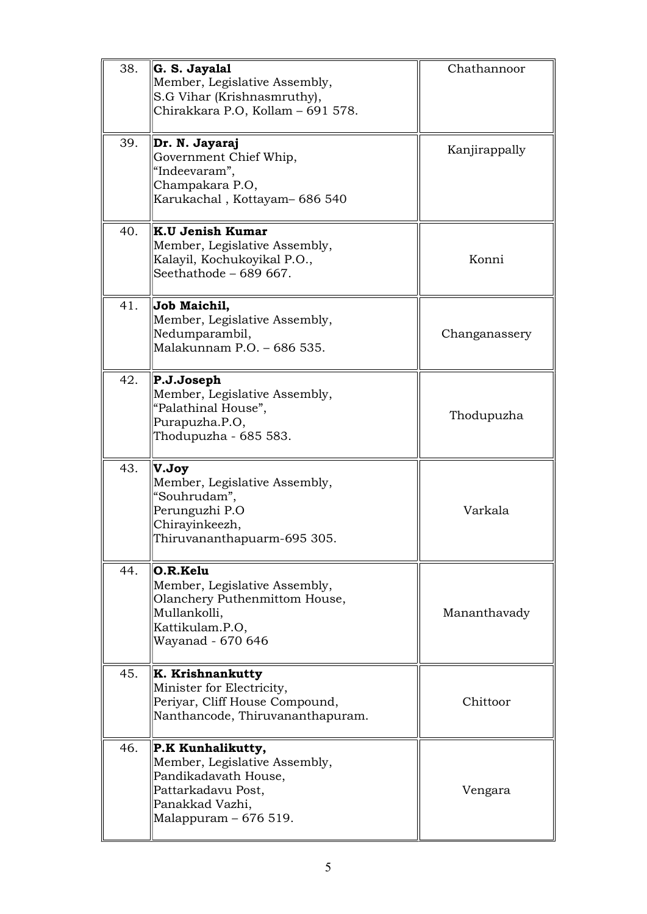| 38. | G. S. Jayalal<br>Member, Legislative Assembly,<br>S.G Vihar (Krishnasmruthy),<br>Chirakkara P.O, Kollam - 691 578.                            | Chathannoor   |
|-----|-----------------------------------------------------------------------------------------------------------------------------------------------|---------------|
| 39. | Dr. N. Jayaraj<br>Government Chief Whip,<br>"Indeevaram",<br>Champakara P.O,<br>Karukachal, Kottayam- 686 540                                 | Kanjirappally |
| 40. | K.U Jenish Kumar<br>Member, Legislative Assembly,<br>Kalayil, Kochukoyikal P.O.,<br>Seethathode - 689 667.                                    | Konni         |
| 41. | Job Maichil,<br>Member, Legislative Assembly,<br>Nedumparambil,<br>Malakunnam P.O. - 686 535.                                                 | Changanassery |
| 42. | P.J.Joseph<br>Member, Legislative Assembly,<br>"Palathinal House",<br>Purapuzha.P.O,<br>Thodupuzha - 685 583.                                 | Thodupuzha    |
| 43. | V.Joy<br>Member, Legislative Assembly,<br>"Souhrudam",<br>Perunguzhi P.O<br>Chirayinkeezh,<br>Thiruvananthapuarm-695 305.                     | Varkala       |
| 44. | O.R.Kelu<br>Member, Legislative Assembly,<br>Olanchery Puthenmittom House,<br>Mullankolli,<br>Kattikulam.P.O,<br>Wayanad - 670 646            | Mananthavady  |
| 45. | K. Krishnankutty<br>Minister for Electricity,<br>Periyar, Cliff House Compound,<br>Nanthancode, Thiruvananthapuram.                           | Chittoor      |
| 46. | P.K Kunhalikutty,<br>Member, Legislative Assembly,<br>Pandikadavath House,<br>Pattarkadavu Post,<br>Panakkad Vazhi,<br>Malappuram $-676519$ . | Vengara       |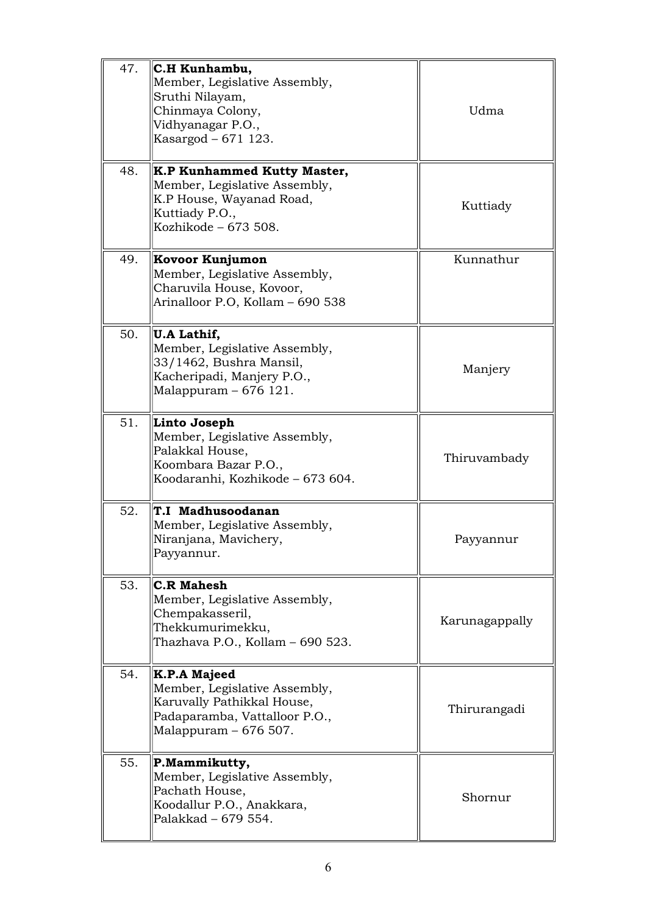| 47. | C.H Kunhambu,<br>Member, Legislative Assembly,<br>Sruthi Nilayam,<br>Chinmaya Colony,<br>Vidhyanagar P.O.,<br>Kasargod – 671 123.     | Udma           |
|-----|---------------------------------------------------------------------------------------------------------------------------------------|----------------|
| 48. | K.P Kunhammed Kutty Master,<br>Member, Legislative Assembly,<br>K.P House, Wayanad Road,<br>Kuttiady P.O.,<br>Kozhikode – 673 508.    | Kuttiady       |
| 49. | Kovoor Kunjumon<br>Member, Legislative Assembly,<br>Charuvila House, Kovoor,<br>Arinalloor P.O, Kollam - 690 538                      | Kunnathur      |
| 50. | U.A Lathif,<br>Member, Legislative Assembly,<br>33/1462, Bushra Mansil,<br>Kacheripadi, Manjery P.O.,<br>Malappuram - 676 121.        | Manjery        |
| 51. | Linto Joseph<br>Member, Legislative Assembly,<br>Palakkal House,<br>Koombara Bazar P.O.,<br>Koodaranhi, Kozhikode – 673 604.          | Thiruvambady   |
| 52. | T.I Madhusoodanan<br>Member, Legislative Assembly,<br>Niranjana, Mavichery,<br>Payyannur.                                             | Payyannur      |
| 53. | <b>C.R Mahesh</b><br>Member, Legislative Assembly,<br>Chempakasseril,<br>Thekkumurimekku,<br>Thazhava P.O., Kollam - 690 523.         | Karunagappally |
| 54. | K.P.A Majeed<br>Member, Legislative Assembly,<br>Karuvally Pathikkal House,<br>Padaparamba, Vattalloor P.O.,<br>Malappuram – 676 507. | Thirurangadi   |
| 55. | P.Mammikutty,<br>Member, Legislative Assembly,<br>Pachath House,<br>Koodallur P.O., Anakkara,<br>Palakkad - 679 554.                  | Shornur        |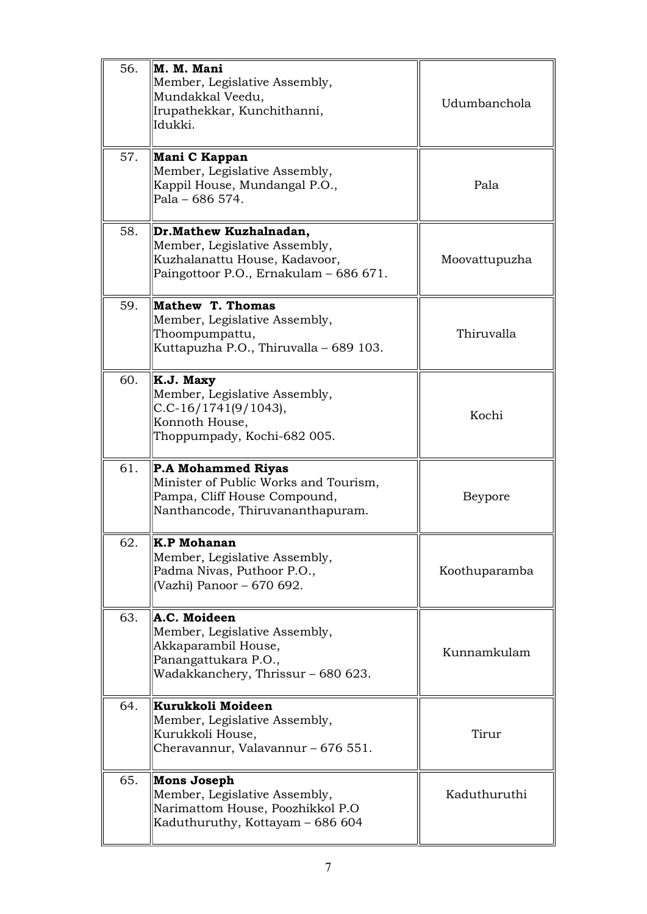| 56. | M. M. Mani<br>Member, Legislative Assembly,<br>Mundakkal Veedu,<br>Irupathekkar, Kunchithanni,<br>Idukki.                              | Udumbanchola  |
|-----|----------------------------------------------------------------------------------------------------------------------------------------|---------------|
| 57. | Mani C Kappan<br>Member, Legislative Assembly,<br>Kappil House, Mundangal P.O.,<br>Pala - 686 574.                                     | Pala          |
| 58. | Dr. Mathew Kuzhalnadan,<br>Member, Legislative Assembly,<br>Kuzhalanattu House, Kadavoor,<br>Paingottoor P.O., Ernakulam - 686 671.    | Moovattupuzha |
| 59. | Mathew T. Thomas<br>Member, Legislative Assembly,<br>Thoompumpattu,<br>Kuttapuzha P.O., Thiruvalla - 689 103.                          | Thiruvalla    |
| 60. | K.J. Maxy<br>Member, Legislative Assembly,<br>$C.C-16/1741(9/1043),$<br>Konnoth House,<br>Thoppumpady, Kochi-682 005.                  | Kochi         |
| 61. | <b>P.A Mohammed Riyas</b><br>Minister of Public Works and Tourism,<br>Pampa, Cliff House Compound,<br>Nanthancode, Thiruvananthapuram. | Beypore       |
| 62. | <b>K.P Mohanan</b><br>Member, Legislative Assembly,<br>Padma Nivas, Puthoor P.O.,<br>(Vazhi) Panoor - 670 692.                         | Koothuparamba |
| 63. | A.C. Moideen<br>Member, Legislative Assembly,<br>Akkaparambil House,<br>Panangattukara P.O.,<br>Wadakkanchery, Thrissur - 680 623.     | Kunnamkulam   |
| 64. | Kurukkoli Moideen<br>Member, Legislative Assembly,<br>Kurukkoli House,<br>Cheravannur, Valavannur - 676 551.                           | Tirur         |
| 65. | Mons Joseph<br>Member, Legislative Assembly,<br>Narimattom House, Poozhikkol P.O<br>Kaduthuruthy, Kottayam – 686 604                   | Kaduthuruthi  |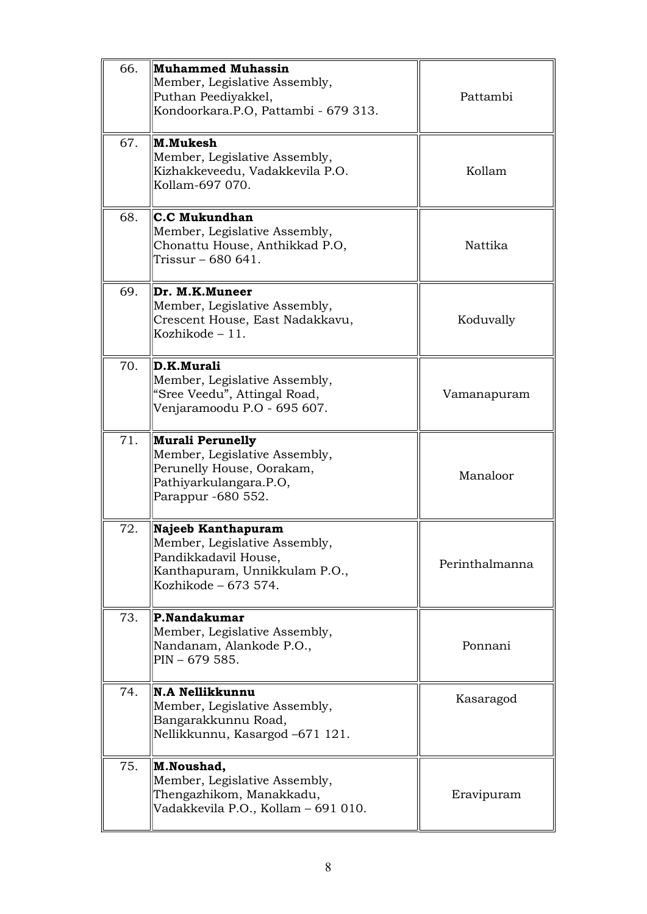| 66. | <b>Muhammed Muhassin</b><br>Member, Legislative Assembly,<br>Puthan Peediyakkel,<br>Kondoorkara.P.O, Pattambi - 679 313.              | Pattambi       |
|-----|---------------------------------------------------------------------------------------------------------------------------------------|----------------|
| 67. | M.Mukesh<br>Member, Legislative Assembly,<br>Kizhakkeveedu, Vadakkevila P.O.<br>Kollam-697 070.                                       | Kollam         |
| 68. | C.C Mukundhan<br>Member, Legislative Assembly,<br>Chonattu House, Anthikkad P.O,<br>Trissur - 680 641.                                | Nattika        |
| 69. | Dr. M.K.Muneer<br>Member, Legislative Assembly,<br>Crescent House, East Nadakkavu,<br>Kozhikode $-11$ .                               | Koduvally      |
| 70. | D.K.Murali<br>Member, Legislative Assembly,<br>"Sree Veedu", Attingal Road,<br>Venjaramoodu P.O - 695 607.                            | Vamanapuram    |
| 71. | <b>Murali Perunelly</b><br>Member, Legislative Assembly,<br>Perunelly House, Oorakam,<br>Pathiyarkulangara.P.O,<br>Parappur -680 552. | Manaloor       |
| 72. | Najeeb Kanthapuram<br>Member, Legislative Assembly,<br>Pandikkadavil House,<br>Kanthapuram, Unnikkulam P.O.,<br>Kozhikode - 673 574.  | Perinthalmanna |
| 73. | P.Nandakumar<br>Member, Legislative Assembly,<br>Nandanam, Alankode P.O.,<br>$PIN - 679585.$                                          | Ponnani        |
| 74. | N.A Nellikkunnu<br>Member, Legislative Assembly,<br>Bangarakkunnu Road,<br>Nellikkunnu, Kasargod -671 121.                            | Kasaragod      |
| 75. | M.Noushad,<br>Member, Legislative Assembly,<br>Thengazhikom, Manakkadu,<br>Vadakkevila P.O., Kollam – 691 010.                        | Eravipuram     |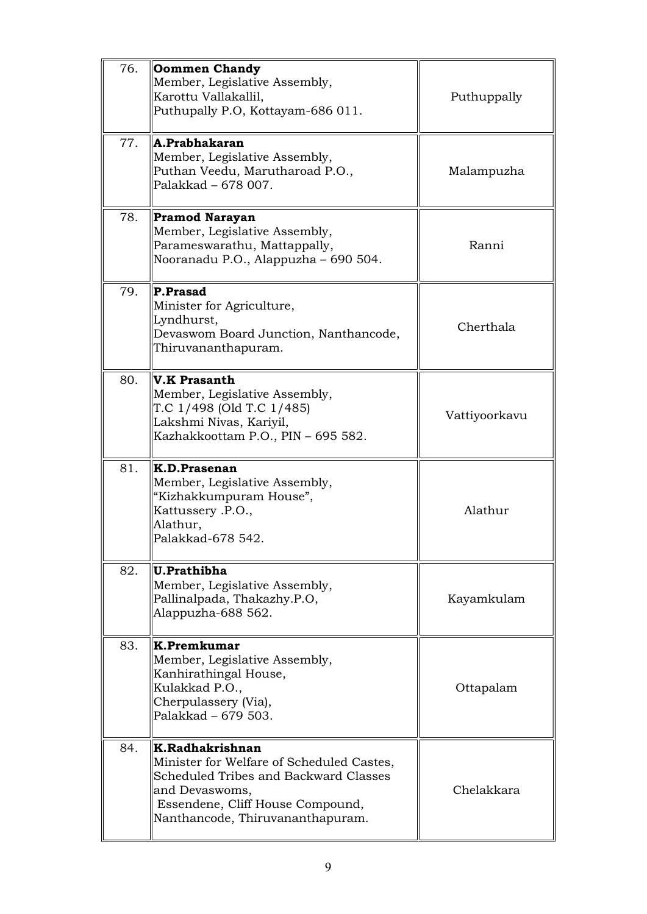| 76. | <b>Oommen Chandy</b><br>Member, Legislative Assembly,<br>Karottu Vallakallil,<br>Puthupally P.O, Kottayam-686 011.                                                                              | Puthuppally   |
|-----|-------------------------------------------------------------------------------------------------------------------------------------------------------------------------------------------------|---------------|
| 77. | A.Prabhakaran<br>Member, Legislative Assembly,<br>Puthan Veedu, Marutharoad P.O.,<br>Palakkad - 678 007.                                                                                        | Malampuzha    |
| 78. | <b>Pramod Narayan</b><br>Member, Legislative Assembly,<br>Parameswarathu, Mattappally,<br>Nooranadu P.O., Alappuzha - 690 504.                                                                  | Ranni         |
| 79. | P.Prasad<br>Minister for Agriculture,<br>Lyndhurst,<br>Devaswom Board Junction, Nanthancode,<br>Thiruvananthapuram.                                                                             | Cherthala     |
| 80. | V.K Prasanth<br>Member, Legislative Assembly,<br>T.C 1/498 (Old T.C 1/485)<br>Lakshmi Nivas, Kariyil,<br>Kazhakkoottam P.O., PIN - 695 582.                                                     | Vattiyoorkavu |
| 81. | K.D.Prasenan<br>Member, Legislative Assembly,<br>"Kizhakkumpuram House",<br>Kattussery .P.O.,<br>Alathur,<br>Palakkad-678 542.                                                                  | Alathur       |
| 82. | U.Prathibha<br>Member, Legislative Assembly,<br>Pallinalpada, Thakazhy.P.O,<br>Alappuzha-688 562.                                                                                               | Kayamkulam    |
| 83. | K.Premkumar<br>Member, Legislative Assembly,<br>Kanhirathingal House,<br>Kulakkad P.O.,<br>Cherpulassery (Via),<br>Palakkad - 679 503.                                                          | Ottapalam     |
| 84. | K.Radhakrishnan<br>Minister for Welfare of Scheduled Castes,<br>Scheduled Tribes and Backward Classes<br>and Devaswoms,<br>Essendene, Cliff House Compound,<br>Nanthancode, Thiruvananthapuram. | Chelakkara    |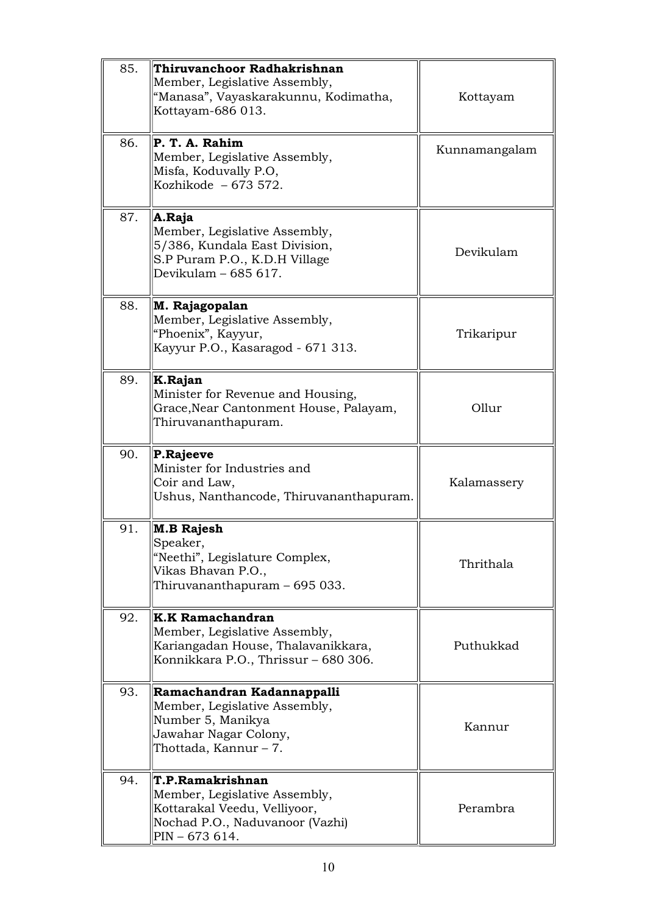| 85. | Thiruvanchoor Radhakrishnan<br>Member, Legislative Assembly,<br>"Manasa", Vayaskarakunnu, Kodimatha,<br>Kottayam-686 013.              | Kottayam      |
|-----|----------------------------------------------------------------------------------------------------------------------------------------|---------------|
| 86. | P. T. A. Rahim<br>Member, Legislative Assembly,<br>Misfa, Koduvally P.O,<br>Kozhikode $-673572$ .                                      | Kunnamangalam |
| 87. | A.Raja<br>Member, Legislative Assembly,<br>5/386, Kundala East Division,<br>S.P Puram P.O., K.D.H Village<br>Devikulam - 685 617.      | Devikulam     |
| 88. | M. Rajagopalan<br>Member, Legislative Assembly,<br>"Phoenix", Kayyur,<br>Kayyur P.O., Kasaragod - 671 313.                             | Trikaripur    |
| 89. | K.Rajan<br>Minister for Revenue and Housing,<br>Grace, Near Cantonment House, Palayam,<br>Thiruvananthapuram.                          | Ollur         |
| 90. | P.Rajeeve<br>Minister for Industries and<br>Coir and Law,<br>Ushus, Nanthancode, Thiruvananthapuram.                                   | Kalamassery   |
| 91. | M.B Rajesh<br>Speaker,<br>"Neethi", Legislature Complex,<br>Vikas Bhavan P.O.,<br>Thiruvananthapuram - 695 033.                        | Thrithala     |
| 92. | <b>K.K Ramachandran</b><br>Member, Legislative Assembly,<br>Kariangadan House, Thalavanikkara,<br>Konnikkara P.O., Thrissur – 680 306. | Puthukkad     |
| 93. | Ramachandran Kadannappalli<br>Member, Legislative Assembly,<br>Number 5, Manikya<br>Jawahar Nagar Colony,<br>Thottada, Kannur – 7.     | Kannur        |
| 94. | T.P.Ramakrishnan<br>Member, Legislative Assembly,<br>Kottarakal Veedu, Velliyoor,<br>Nochad P.O., Naduvanoor (Vazhi)<br>PIN – 673 614. | Perambra      |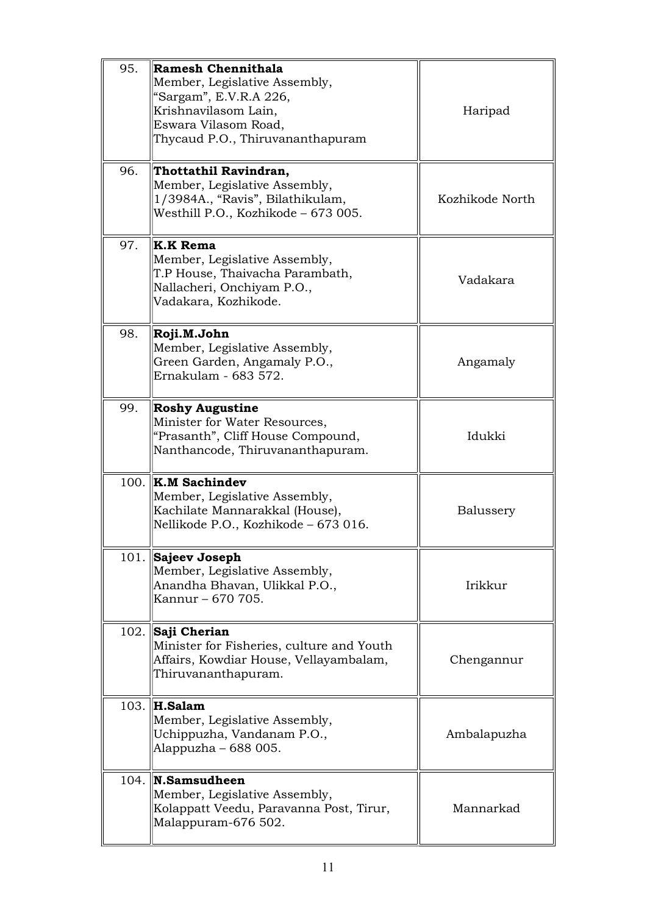| 95. | Ramesh Chennithala<br>Member, Legislative Assembly,<br>"Sargam", E.V.R.A 226,<br>Krishnavilasom Lain,<br>Eswara Vilasom Road,<br>Thycaud P.O., Thiruvananthapuram | Haripad         |
|-----|-------------------------------------------------------------------------------------------------------------------------------------------------------------------|-----------------|
| 96. | Thottathil Ravindran,<br>Member, Legislative Assembly,<br>1/3984A., "Ravis", Bilathikulam,<br>Westhill P.O., Kozhikode - 673 005.                                 | Kozhikode North |
| 97. | <b>K.K Rema</b><br>Member, Legislative Assembly,<br>T.P House, Thaivacha Parambath,<br>Nallacheri, Onchiyam P.O.,<br>Vadakara, Kozhikode.                         | Vadakara        |
| 98. | Roji.M.John<br>Member, Legislative Assembly,<br>Green Garden, Angamaly P.O.,<br>Ernakulam - 683 572.                                                              | Angamaly        |
| 99. | <b>Roshy Augustine</b><br>Minister for Water Resources,<br>"Prasanth", Cliff House Compound,<br>Nanthancode, Thiruvananthapuram.                                  | Idukki          |
|     | $100.$ K.M Sachindev<br>Member, Legislative Assembly,<br>Kachilate Mannarakkal (House),<br>Nellikode P.O., Kozhikode - 673 016.                                   | Balussery       |
|     | 101. Sajeev Joseph<br>Member, Legislative Assembly,<br>Anandha Bhavan, Ulikkal P.O.,<br>Kannur – 670 705.                                                         | Irikkur         |
|     | 102. Saji Cherian<br>Minister for Fisheries, culture and Youth<br>Affairs, Kowdiar House, Vellayambalam,<br>Thiruvananthapuram.                                   | Chengannur      |
|     | 103. $\ $ H.Salam<br>Member, Legislative Assembly,<br>Uchippuzha, Vandanam P.O.,<br>Alappuzha – 688 005.                                                          | Ambalapuzha     |
|     | $104.$ N. Samsudheen<br>Member, Legislative Assembly,<br>Kolappatt Veedu, Paravanna Post, Tirur,<br>Malappuram-676 502.                                           | Mannarkad       |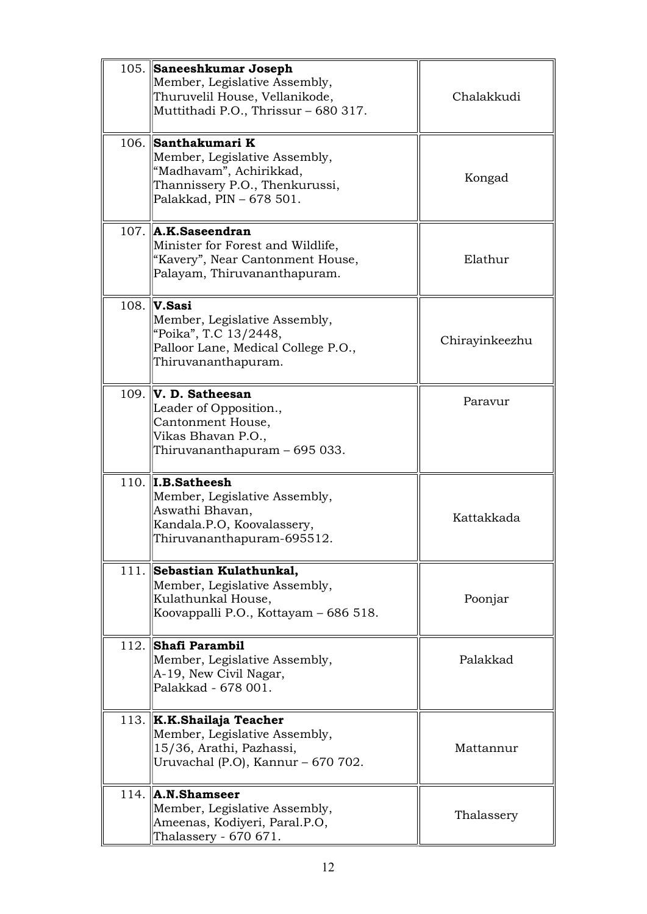|      | 105. Saneeshkumar Joseph<br>Member, Legislative Assembly,<br>Thuruvelil House, Vellanikode,<br>Muttithadi P.O., Thrissur - 680 317.           | Chalakkudi     |
|------|-----------------------------------------------------------------------------------------------------------------------------------------------|----------------|
|      | 106. Santhakumari K<br>Member, Legislative Assembly,<br>"Madhavam", Achirikkad,<br>Thannissery P.O., Thenkurussi,<br>Palakkad, PIN - 678 501. | Kongad         |
|      | $107.$ $\mathbf{A}$ .K.Saseendran<br>Minister for Forest and Wildlife,<br>"Kavery", Near Cantonment House,<br>Palayam, Thiruvananthapuram.    | Elathur        |
| 108. | V.Sasi<br>Member, Legislative Assembly,<br>"Poika", T.C 13/2448,<br>Palloor Lane, Medical College P.O.,<br>Thiruvananthapuram.                | Chirayinkeezhu |
|      | $109.$ V. D. Satheesan<br>Leader of Opposition.,<br>Cantonment House,<br>Vikas Bhavan P.O.,<br>Thiruvananthapuram - 695 033.                  | Paravur        |
|      | $110.$ I.B. Satheesh<br>Member, Legislative Assembly,<br>Aswathi Bhavan,<br>Kandala.P.O, Koovalassery,<br>Thiruvananthapuram-695512.          | Kattakkada     |
|      | 111. Sebastian Kulathunkal,<br>Member, Legislative Assembly,<br>Kulathunkal House,<br>Koovappalli P.O., Kottayam - 686 518.                   | Poonjar        |
|      | 112. Shafi Parambil<br>Member, Legislative Assembly,<br>A-19, New Civil Nagar,<br>Palakkad - 678 001.                                         | Palakkad       |
|      | 113. K.K.Shailaja Teacher<br>Member, Legislative Assembly,<br>15/36, Arathi, Pazhassi,<br>Uruvachal (P.O), Kannur - 670 702.                  | Mattannur      |
|      | $114.$ A.N. Shamseer<br>Member, Legislative Assembly,<br>Ameenas, Kodiyeri, Paral.P.O,<br>Thalassery - 670 671.                               | Thalassery     |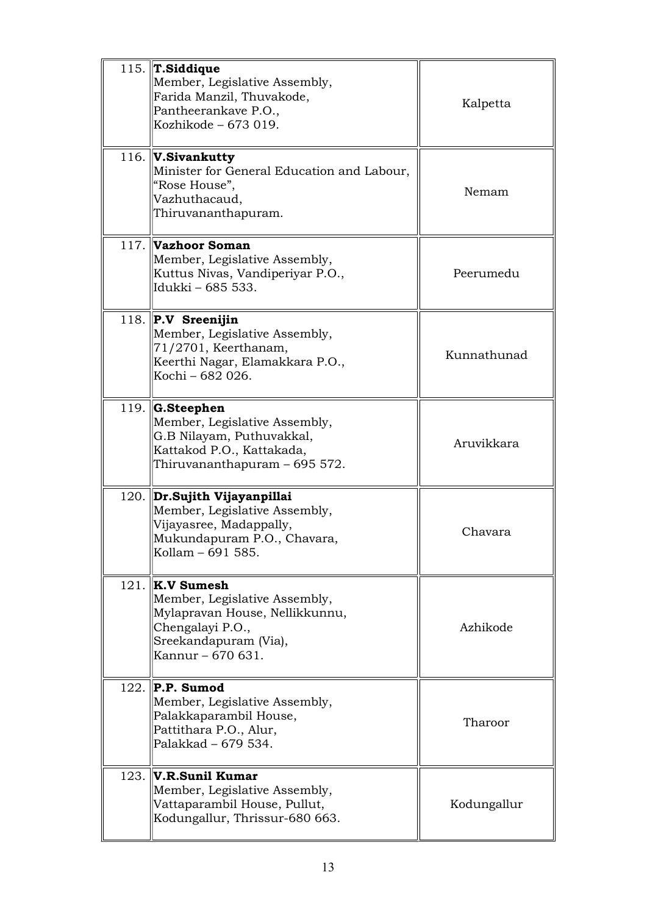|      | 115. $\ $ T.Siddique<br>Member, Legislative Assembly,<br>Farida Manzil, Thuvakode,<br>Pantheerankave P.O.,<br>Kozhikode - 673 019.                   | Kalpetta    |
|------|------------------------------------------------------------------------------------------------------------------------------------------------------|-------------|
|      | 116. $ V.Sivankutty$<br>Minister for General Education and Labour,<br>"Rose House",<br>Vazhuthacaud,<br>Thiruvananthapuram.                          | Nemam       |
|      | 117. Vazhoor Soman<br>Member, Legislative Assembly,<br>Kuttus Nivas, Vandiperiyar P.O.,<br>Idukki - 685 533.                                         | Peerumedu   |
|      | 118. $\Vert P.V \Vert$ Sreenijin<br>Member, Legislative Assembly,<br>71/2701, Keerthanam,<br>Keerthi Nagar, Elamakkara P.O.,<br>Kochi – 682 026.     | Kunnathunad |
|      | 119. $\ $ G.Steephen<br>Member, Legislative Assembly,<br>G.B Nilayam, Puthuvakkal,<br>Kattakod P.O., Kattakada,<br>Thiruvananthapuram – 695 572.     | Aruvikkara  |
|      | 120. Dr.Sujith Vijayanpillai<br>Member, Legislative Assembly,<br>Vijayasree, Madappally,<br>Mukundapuram P.O., Chavara,<br>Kollam – 691 585.         | Chavara     |
| 121. | $\ $ K.V Sumesh<br>Member, Legislative Assembly,<br>Mylapravan House, Nellikkunnu,<br>Chengalayi P.O.,<br>Sreekandapuram (Via),<br>Kannur - 670 631. | Azhikode    |
| 122. | $\parallel$ P.P. Sumod<br>Member, Legislative Assembly,<br>Palakkaparambil House,<br>Pattithara P.O., Alur,<br>Palakkad - 679 534.                   | Tharoor     |
|      | $123.$ V.R.Sunil Kumar<br>Member, Legislative Assembly,<br>Vattaparambil House, Pullut,<br>Kodungallur, Thrissur-680 663.                            | Kodungallur |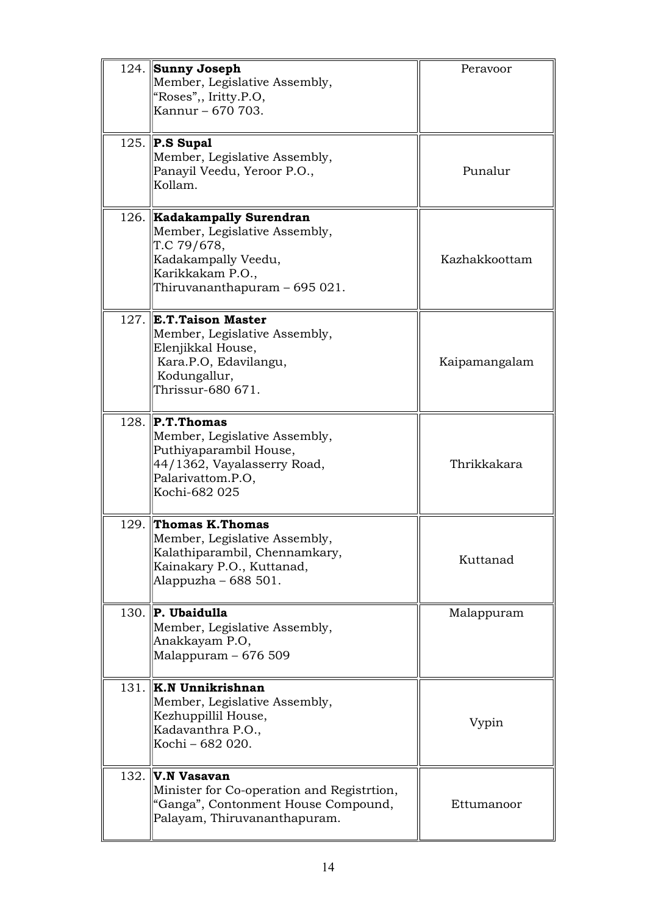|      | 124. Sunny Joseph<br>Member, Legislative Assembly,<br>"Roses",, Iritty.P.O,<br>Kannur - 670 703.                                                               | Peravoor      |
|------|----------------------------------------------------------------------------------------------------------------------------------------------------------------|---------------|
|      | 125. $\Vert P.S \text{ Supal} \Vert$<br>Member, Legislative Assembly,<br>Panayil Veedu, Yeroor P.O.,<br>Kollam.                                                | Punalur       |
|      | 126. <b>Kadakampally Surendran</b><br>Member, Legislative Assembly,<br>T.C 79/678,<br>Kadakampally Veedu,<br>Karikkakam P.O.,<br>Thiruvananthapuram - 695 021. | Kazhakkoottam |
| 127. | <b>E.T.Taison Master</b><br>Member, Legislative Assembly,<br>Elenjikkal House,<br>Kara.P.O, Edavilangu,<br>Kodungallur,<br>Thrissur-680 671.                   | Kaipamangalam |
|      | 128. $\mathbf{P.T.}$ Thomas<br>Member, Legislative Assembly,<br>Puthiyaparambil House,<br>44/1362, Vayalasserry Road,<br>Palarivattom.P.O,<br>Kochi-682 025    | Thrikkakara   |
|      | 129. Thomas K.Thomas<br>Member, Legislative Assembly,<br>Kalathiparambil, Chennamkary,<br>Kainakary P.O., Kuttanad,<br>Alappuzha – 688 501.                    | Kuttanad      |
|      | $130.$ P. Ubaidulla<br>Member, Legislative Assembly,<br>Anakkayam P.O,<br>Malappuram – 676 509                                                                 | Malappuram    |
| 131. | K.N Unnikrishnan<br>Member, Legislative Assembly,<br>Kezhuppillil House,<br>Kadavanthra P.O.,<br>Kochi – 682 020.                                              | Vypin         |
|      | $132.$ V.N Vasavan<br>Minister for Co-operation and Registrtion,<br>"Ganga", Contonment House Compound,<br>Palayam, Thiruvananthapuram.                        | Ettumanoor    |